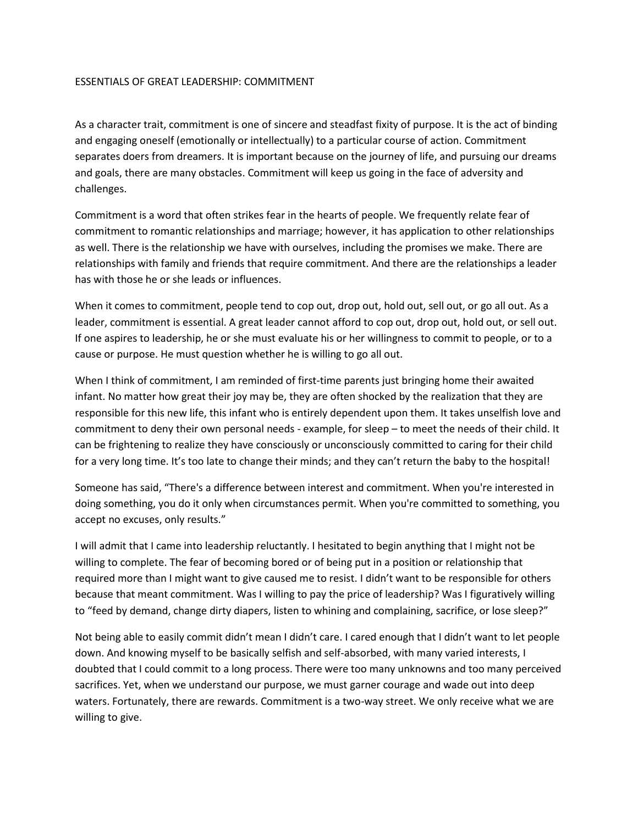## ESSENTIALS OF GREAT LEADERSHIP: COMMITMENT

As a character trait, commitment is one of sincere and steadfast fixity of purpose. It is the act of binding and engaging oneself (emotionally or intellectually) to a particular course of action. Commitment separates doers from dreamers. It is important because on the journey of life, and pursuing our dreams and goals, there are many obstacles. Commitment will keep us going in the face of adversity and challenges.

Commitment is a word that often strikes fear in the hearts of people. We frequently relate fear of commitment to romantic relationships and marriage; however, it has application to other relationships as well. There is the relationship we have with ourselves, including the promises we make. There are relationships with family and friends that require commitment. And there are the relationships a leader has with those he or she leads or influences.

When it comes to commitment, people tend to cop out, drop out, hold out, sell out, or go all out. As a leader, commitment is essential. A great leader cannot afford to cop out, drop out, hold out, or sell out. If one aspires to leadership, he or she must evaluate his or her willingness to commit to people, or to a cause or purpose. He must question whether he is willing to go all out.

When I think of commitment, I am reminded of first-time parents just bringing home their awaited infant. No matter how great their joy may be, they are often shocked by the realization that they are responsible for this new life, this infant who is entirely dependent upon them. It takes unselfish love and commitment to deny their own personal needs - example, for sleep – to meet the needs of their child. It can be frightening to realize they have consciously or unconsciously committed to caring for their child for a very long time. It's too late to change their minds; and they can't return the baby to the hospital!

Someone has said, "There's a difference between interest and commitment. When you're interested in doing something, you do it only when circumstances permit. When you're committed to something, you accept no excuses, only results."

I will admit that I came into leadership reluctantly. I hesitated to begin anything that I might not be willing to complete. The fear of becoming bored or of being put in a position or relationship that required more than I might want to give caused me to resist. I didn't want to be responsible for others because that meant commitment. Was I willing to pay the price of leadership? Was I figuratively willing to "feed by demand, change dirty diapers, listen to whining and complaining, sacrifice, or lose sleep?"

Not being able to easily commit didn't mean I didn't care. I cared enough that I didn't want to let people down. And knowing myself to be basically selfish and self-absorbed, with many varied interests, I doubted that I could commit to a long process. There were too many unknowns and too many perceived sacrifices. Yet, when we understand our purpose, we must garner courage and wade out into deep waters. Fortunately, there are rewards. Commitment is a two-way street. We only receive what we are willing to give.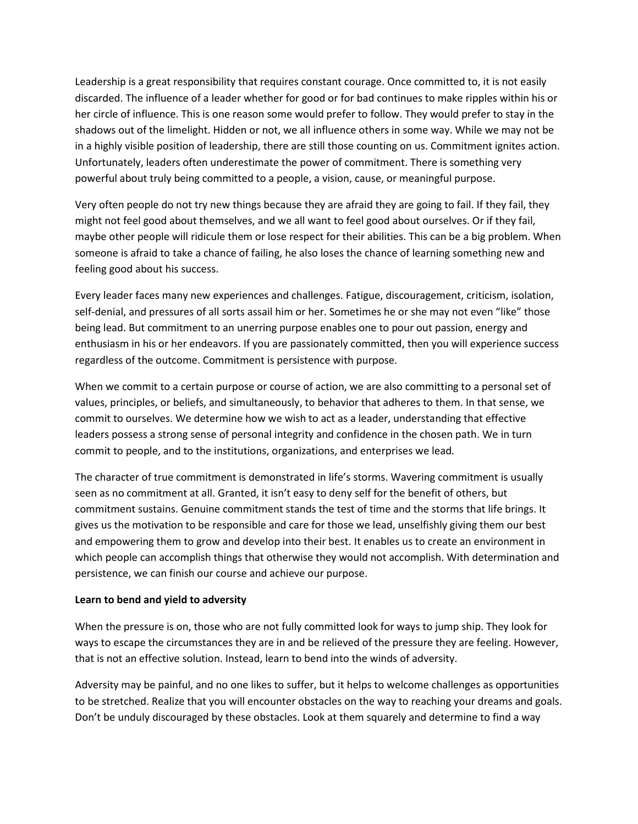Leadership is a great responsibility that requires constant courage. Once committed to, it is not easily discarded. The influence of a leader whether for good or for bad continues to make ripples within his or her circle of influence. This is one reason some would prefer to follow. They would prefer to stay in the shadows out of the limelight. Hidden or not, we all influence others in some way. While we may not be in a highly visible position of leadership, there are still those counting on us. Commitment ignites action. Unfortunately, leaders often underestimate the power of commitment. There is something very powerful about truly being committed to a people, a vision, cause, or meaningful purpose.

Very often people do not try new things because they are afraid they are going to fail. If they fail, they might not feel good about themselves, and we all want to feel good about ourselves. Or if they fail, maybe other people will ridicule them or lose respect for their abilities. This can be a big problem. When someone is afraid to take a chance of failing, he also loses the chance of learning something new and feeling good about his success.

Every leader faces many new experiences and challenges. Fatigue, discouragement, criticism, isolation, self-denial, and pressures of all sorts assail him or her. Sometimes he or she may not even "like" those being lead. But commitment to an unerring purpose enables one to pour out passion, energy and enthusiasm in his or her endeavors. If you are passionately committed, then you will experience success regardless of the outcome. Commitment is persistence with purpose.

When we commit to a certain purpose or course of action, we are also committing to a personal set of values, principles, or beliefs, and simultaneously, to behavior that adheres to them. In that sense, we commit to ourselves. We determine how we wish to act as a leader, understanding that effective leaders possess a strong sense of personal integrity and confidence in the chosen path. We in turn commit to people, and to the institutions, organizations, and enterprises we lead.

The character of true commitment is demonstrated in life's storms. Wavering commitment is usually seen as no commitment at all. Granted, it isn't easy to deny self for the benefit of others, but commitment sustains. Genuine commitment stands the test of time and the storms that life brings. It gives us the motivation to be responsible and care for those we lead, unselfishly giving them our best and empowering them to grow and develop into their best. It enables us to create an environment in which people can accomplish things that otherwise they would not accomplish. With determination and persistence, we can finish our course and achieve our purpose.

## **Learn to bend and yield to adversity**

When the pressure is on, those who are not fully committed look for ways to jump ship. They look for ways to escape the circumstances they are in and be relieved of the pressure they are feeling. However, that is not an effective solution. Instead, learn to bend into the winds of adversity.

Adversity may be painful, and no one likes to suffer, but it helps to welcome challenges as opportunities to be stretched. Realize that you will encounter obstacles on the way to reaching your dreams and goals. Don't be unduly discouraged by these obstacles. Look at them squarely and determine to find a way